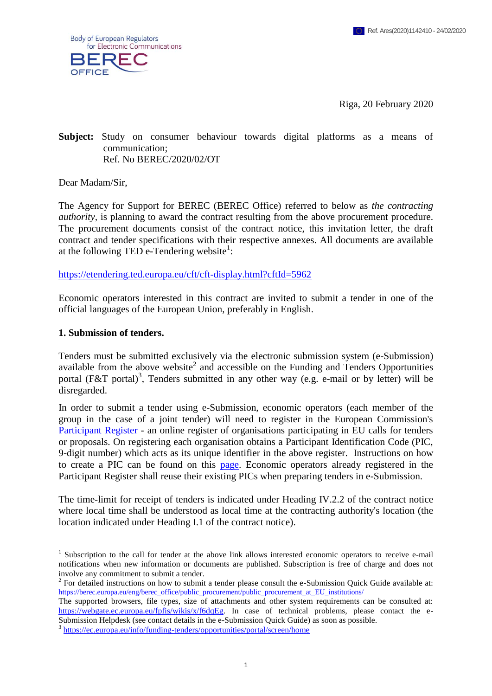

Riga, 20 February 2020

## **Subject:** Study on consumer behaviour towards digital platforms as a means of communication; Ref. No BEREC/2020/02/OT

Dear Madam/Sir,

The Agency for Support for BEREC (BEREC Office) referred to below as *the contracting authority,* is planning to award the contract resulting from the above procurement procedure. The procurement documents consist of the contract notice, this invitation letter, the draft contract and tender specifications with their respective annexes. All documents are available at the following TED e-Tendering website<sup>1</sup>:

<span id="page-0-0"></span><https://etendering.ted.europa.eu/cft/cft-display.html?cftId=5962>

Economic operators interested in this contract are invited to submit a tender in one of the official languages of the European Union, preferably in English.

### **1. Submission of tenders.**

 $\overline{a}$ 

Tenders must be submitted exclusively via the electronic submission system (e-Submission) available from the above website<sup>2</sup> and accessible on the Funding and Tenders Opportunities portal (F&T portal)<sup>3</sup>, Tenders submitted in any other way (e.g. e-mail or by letter) will be disregarded.

In order to submit a tender using e-Submission, economic operators (each member of the group in the case of a joint tender) will need to register in the European Commission's [Participant Register](https://ec.europa.eu/info/funding-tenders/opportunities/portal/screen/how-to-participate/participant-register) - an online register of organisations participating in EU calls for tenders or proposals. On registering each organisation obtains a Participant Identification Code (PIC, 9-digit number) which acts as its unique identifier in the above register. Instructions on how to create a PIC can be found on this [page.](https://webgate.ec.europa.eu/fpfis/wikis/pages/viewpage.action?pageId=308979301) Economic operators already registered in the Participant Register shall reuse their existing PICs when preparing tenders in e-Submission.

The time-limit for receipt of tenders is indicated under Heading IV.2.2 of the contract notice where local time shall be understood as local time at the contracting authority's location (the location indicated under Heading I.1 of the contract notice).

<sup>&</sup>lt;sup>1</sup> Subscription to the call for tender at the above link allows interested economic operators to receive e-mail notifications when new information or documents are published. Subscription is free of charge and does not involve any commitment to submit a tender.

<sup>&</sup>lt;sup>2</sup> For detailed instructions on how to submit a tender please consult the e-Submission Quick Guide available at: [https://berec.europa.eu/eng/berec\\_office/public\\_procurement/public\\_procurement\\_at\\_EU\\_institutions/](https://berec.europa.eu/files/document_register_store/2020/1/1_Quick%20Reference%20Guide.pdf)

The supported browsers, file types, size of attachments and other system requirements can be consulted at: [https://webgate.ec.europa.eu/fpfis/wikis/x/f6dqEg.](https://webgate.ec.europa.eu/fpfis/wikis/x/f6dqEg) In case of technical problems, please contact the e-Submission Helpdesk (see contact details in the e-Submission Quick Guide) as soon as possible.

<sup>3</sup> <https://ec.europa.eu/info/funding-tenders/opportunities/portal/screen/home>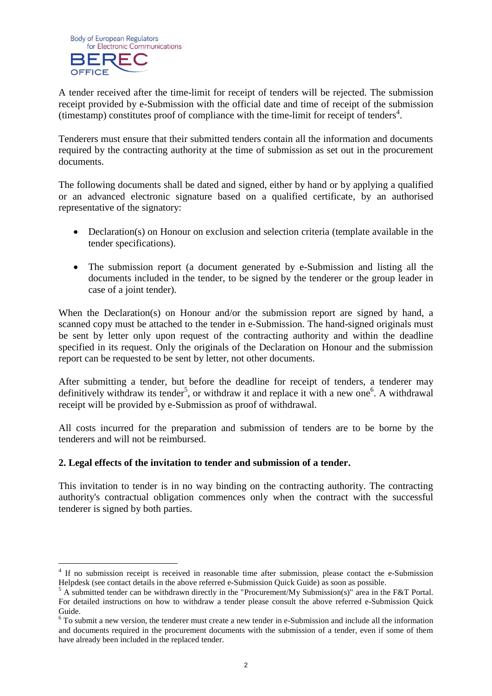

A tender received after the time-limit for receipt of tenders will be rejected. The submission receipt provided by e-Submission with the official date and time of receipt of the submission  $($ timestamp $)$  constitutes proof of compliance with the time-limit for receipt of tenders<sup>4</sup>.

Tenderers must ensure that their submitted tenders contain all the information and documents required by the contracting authority at the time of submission as set out in the procurement documents.

The following documents shall be dated and signed, either by hand or by applying a qualified or an advanced electronic signature based on a qualified certificate, by an authorised representative of the signatory:

- Declaration(s) on Honour on exclusion and selection criteria (template available in the tender specifications).
- The submission report (a document generated by e-Submission and listing all the documents included in the tender, to be signed by the tenderer or the group leader in case of a joint tender).

When the Declaration(s) on Honour and/or the submission report are signed by hand, a scanned copy must be attached to the tender in e-Submission. The hand-signed originals must be sent by letter only upon request of the contracting authority and within the deadline specified in its request. Only the originals of the Declaration on Honour and the submission report can be requested to be sent by letter, not other documents.

After submitting a tender, but before the deadline for receipt of tenders, a tenderer may definitively withdraw its tender<sup>5</sup>, or withdraw it and replace it with a new one<sup>6</sup>. A withdrawal receipt will be provided by e-Submission as proof of withdrawal.

All costs incurred for the preparation and submission of tenders are to be borne by the tenderers and will not be reimbursed.

# **2. Legal effects of the invitation to tender and submission of a tender.**

 $\overline{a}$ 

This invitation to tender is in no way binding on the contracting authority. The contracting authority's contractual obligation commences only when the contract with the successful tenderer is signed by both parties.

<sup>&</sup>lt;sup>4</sup> If no submission receipt is received in reasonable time after submission, please contact the e-Submission Helpdesk (see contact details in the above referred e-Submission Quick Guide) as soon as possible.

 $5$  A submitted tender can be withdrawn directly in the "Procurement/My Submission(s)" area in the F&T Portal. For detailed instructions on how to withdraw a tender please consult the above referred e-Submission Quick Guide.

 $6$  To submit a new version, the tenderer must create a new tender in e-Submission and include all the information and documents required in the procurement documents with the submission of a tender, even if some of them have already been included in the replaced tender.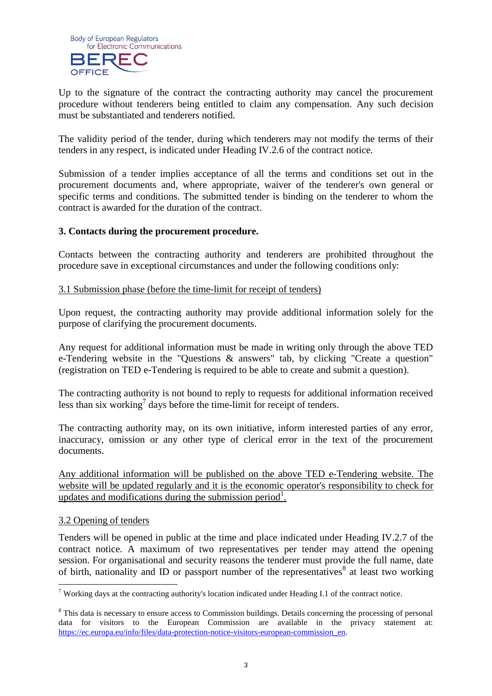

Up to the signature of the contract the contracting authority may cancel the procurement procedure without tenderers being entitled to claim any compensation. Any such decision must be substantiated and tenderers notified.

The validity period of the tender, during which tenderers may not modify the terms of their tenders in any respect, is indicated under Heading IV.2.6 of the contract notice.

Submission of a tender implies acceptance of all the terms and conditions set out in the procurement documents and, where appropriate, waiver of the tenderer's own general or specific terms and conditions. The submitted tender is binding on the tenderer to whom the contract is awarded for the duration of the contract.

### **3. Contacts during the procurement procedure.**

Contacts between the contracting authority and tenderers are prohibited throughout the procedure save in exceptional circumstances and under the following conditions only:

3.1 Submission phase (before the time-limit for receipt of tenders)

Upon request, the contracting authority may provide additional information solely for the purpose of clarifying the procurement documents.

Any request for additional information must be made in writing only through the above TED e-Tendering website in the "Questions & answers" tab, by clicking "Create a question" (registration on TED e-Tendering is required to be able to create and submit a question).

The contracting authority is not bound to reply to requests for additional information received less than six working<sup>7</sup> days before the time-limit for receipt of tenders.

The contracting authority may, on its own initiative, inform interested parties of any error, inaccuracy, omission or any other type of clerical error in the text of the procurement documents.

Any additional information will be published on the above TED e-Tendering website. The website will be updated regularly and it is the economic operator's responsibility to check for up[d](#page-0-0)ates and modifications during the submission period<sup>1</sup>.

### 3.2 Opening of tenders

 $\overline{a}$ 

Tenders will be opened in public at the time and place indicated under Heading IV.2.7 of the contract notice. A maximum of two representatives per tender may attend the opening session. For organisational and security reasons the tenderer must provide the full name, date of birth, nationality and ID or passport number of the representatives<sup>8</sup> at least two working

 $7$  Working days at the contracting authority's location indicated under Heading I.1 of the contract notice.

<sup>&</sup>lt;sup>8</sup> This data is necessary to ensure access to Commission buildings. Details concerning the processing of personal data for visitors to the European Commission are available in the privacy statement at: [https://ec.europa.eu/info/files/data-protection-notice-visitors-european-commission\\_en.](https://ec.europa.eu/info/files/data-protection-notice-visitors-european-commission_en)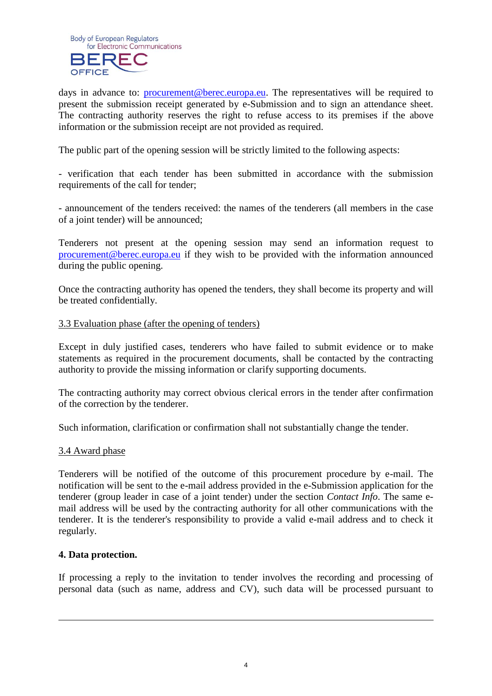

days in advance to: **procurement@berec.europa.eu**. The representatives will be required to present the submission receipt generated by e-Submission and to sign an attendance sheet. The contracting authority reserves the right to refuse access to its premises if the above information or the submission receipt are not provided as required.

The public part of the opening session will be strictly limited to the following aspects:

- verification that each tender has been submitted in accordance with the submission requirements of the call for tender;

- announcement of the tenders received: the names of the tenderers (all members in the case of a joint tender) will be announced;

Tenderers not present at the opening session may send an information request to [procurement@berec.europa.eu](mailto:procurement@berec.europa.eu) if they wish to be provided with the information announced during the public opening.

Once the contracting authority has opened the tenders, they shall become its property and will be treated confidentially.

### 3.3 Evaluation phase (after the opening of tenders)

Except in duly justified cases, tenderers who have failed to submit evidence or to make statements as required in the procurement documents, shall be contacted by the contracting authority to provide the missing information or clarify supporting documents.

The contracting authority may correct obvious clerical errors in the tender after confirmation of the correction by the tenderer.

Such information, clarification or confirmation shall not substantially change the tender.

### 3.4 Award phase

Tenderers will be notified of the outcome of this procurement procedure by e-mail. The notification will be sent to the e-mail address provided in the e-Submission application for the tenderer (group leader in case of a joint tender) under the section *Contact Info*. The same email address will be used by the contracting authority for all other communications with the tenderer. It is the tenderer's responsibility to provide a valid e-mail address and to check it regularly.

### **4. Data protection.**

 $\overline{a}$ 

If processing a reply to the invitation to tender involves the recording and processing of personal data (such as name, address and CV), such data will be processed pursuant to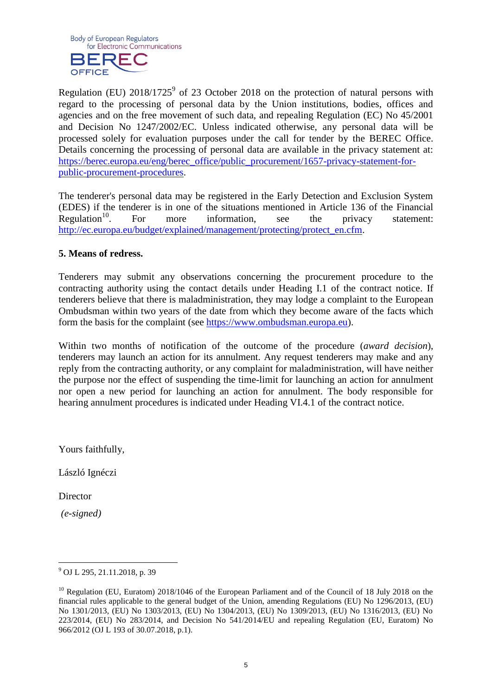

Regulation (EU)  $2018/1725^9$  of 23 October 2018 on the protection of natural persons with regard to the processing of personal data by the Union institutions, bodies, offices and agencies and on the free movement of such data, and repealing Regulation (EC) No 45/2001 and Decision No 1247/2002/EC. Unless indicated otherwise, any personal data will be processed solely for evaluation purposes under the call for tender by the BEREC Office. Details concerning the processing of personal data are available in the privacy statement at: [https://berec.europa.eu/eng/berec\\_office/public\\_procurement/1657-privacy-statement-for](https://berec.europa.eu/eng/berec_office/public_procurement/1657-privacy-statement-for-public-procurement-procedures)[public-procurement-procedures.](https://berec.europa.eu/eng/berec_office/public_procurement/1657-privacy-statement-for-public-procurement-procedures)

The tenderer's personal data may be registered in the Early Detection and Exclusion System (EDES) if the tenderer is in one of the situations mentioned in Article 136 of the Financial Regulation<sup>10</sup>. For more information, see the privacy statement: [http://ec.europa.eu/budget/explained/management/protecting/protect\\_en.cfm.](http://ec.europa.eu/budget/explained/management/protecting/protect_en.cfm)

### **5. Means of redress.**

Tenderers may submit any observations concerning the procurement procedure to the contracting authority using the contact details under Heading I.1 of the contract notice. If tenderers believe that there is maladministration, they may lodge a complaint to the European Ombudsman within two years of the date from which they become aware of the facts which form the basis for the complaint (see [https://www.ombudsman.europa.eu\)](https://www.ombudsman.europa.eu/).

Within two months of notification of the outcome of the procedure (*award decision*), tenderers may launch an action for its annulment. Any request tenderers may make and any reply from the contracting authority, or any complaint for maladministration, will have neither the purpose nor the effect of suspending the time-limit for launching an action for annulment nor open a new period for launching an action for annulment. The body responsible for hearing annulment procedures is indicated under Heading VI.4.1 of the contract notice.

Yours faithfully,

László Ignéczi

Director

 $\overline{a}$ 

*(e-signed)*

<sup>9</sup> OJ L 295, 21.11.2018, p. 39

<sup>&</sup>lt;sup>10</sup> Regulation (EU, Euratom) 2018/1046 of the European Parliament and of the Council of 18 July 2018 on the financial rules applicable to the general budget of the Union, amending Regulations (EU) No 1296/2013, (EU) No 1301/2013, (EU) No 1303/2013, (EU) No 1304/2013, (EU) No 1309/2013, (EU) No 1316/2013, (EU) No 223/2014, (EU) No 283/2014, and Decision No 541/2014/EU and repealing Regulation (EU, Euratom) No 966/2012 (OJ L 193 of 30.07.2018, p.1).